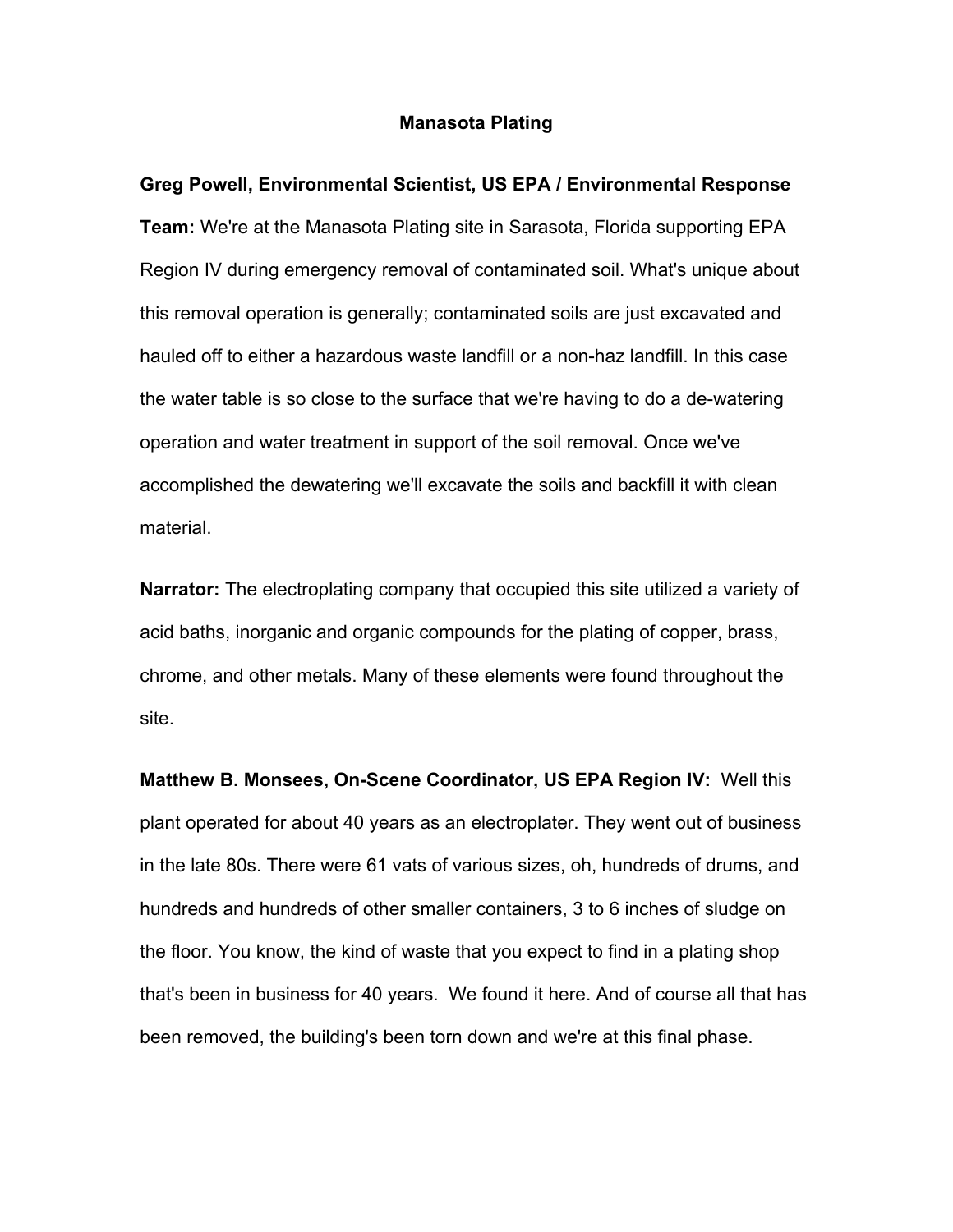## **Manasota Plating**

**Greg Powell, Environmental Scientist, US EPA / Environmental Response Team:** We're at the Manasota Plating site in Sarasota, Florida supporting EPA Region IV during emergency removal of contaminated soil. What's unique about this removal operation is generally; contaminated soils are just excavated and hauled off to either a hazardous waste landfill or a non-haz landfill. In this case the water table is so close to the surface that we're having to do a de-watering operation and water treatment in support of the soil removal. Once we've accomplished the dewatering we'll excavate the soils and backfill it with clean material.

**Narrator:** The electroplating company that occupied this site utilized a variety of acid baths, inorganic and organic compounds for the plating of copper, brass, chrome, and other metals. Many of these elements were found throughout the site.

**Matthew B. Monsees, On-Scene Coordinator, US EPA Region IV:** Well this plant operated for about 40 years as an electroplater. They went out of business in the late 80s. There were 61 vats of various sizes, oh, hundreds of drums, and hundreds and hundreds of other smaller containers, 3 to 6 inches of sludge on the floor. You know, the kind of waste that you expect to find in a plating shop that's been in business for 40 years. We found it here. And of course all that has been removed, the building's been torn down and we're at this final phase.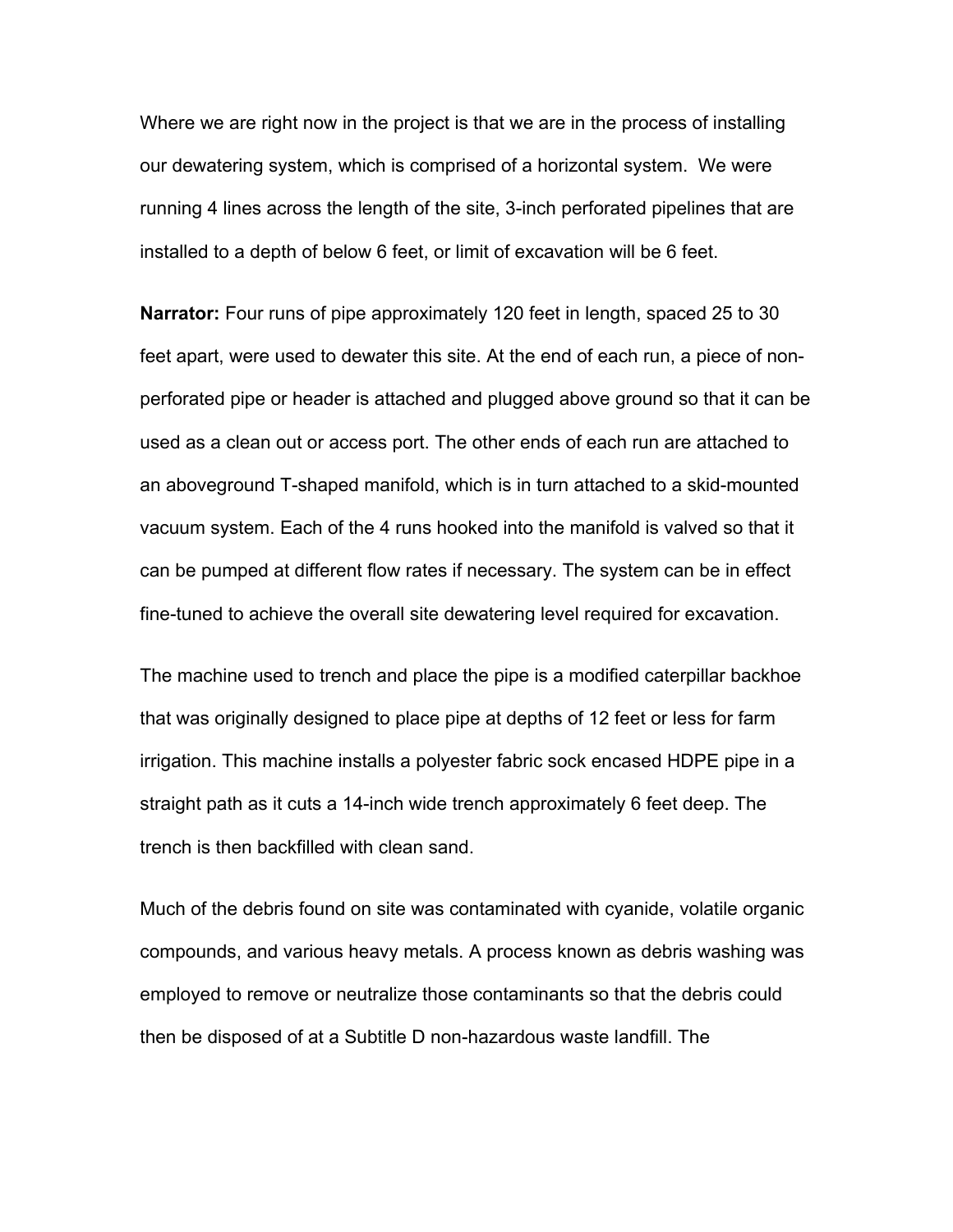Where we are right now in the project is that we are in the process of installing our dewatering system, which is comprised of a horizontal system. We were running 4 lines across the length of the site, 3-inch perforated pipelines that are installed to a depth of below 6 feet, or limit of excavation will be 6 feet.

**Narrator:** Four runs of pipe approximately 120 feet in length, spaced 25 to 30 feet apart, were used to dewater this site. At the end of each run, a piece of nonperforated pipe or header is attached and plugged above ground so that it can be used as a clean out or access port. The other ends of each run are attached to an aboveground T-shaped manifold, which is in turn attached to a skid-mounted vacuum system. Each of the 4 runs hooked into the manifold is valved so that it can be pumped at different flow rates if necessary. The system can be in effect fine-tuned to achieve the overall site dewatering level required for excavation.

The machine used to trench and place the pipe is a modified caterpillar backhoe that was originally designed to place pipe at depths of 12 feet or less for farm irrigation. This machine installs a polyester fabric sock encased HDPE pipe in a straight path as it cuts a 14-inch wide trench approximately 6 feet deep. The trench is then backfilled with clean sand.

Much of the debris found on site was contaminated with cyanide, volatile organic compounds, and various heavy metals. A process known as debris washing was employed to remove or neutralize those contaminants so that the debris could then be disposed of at a Subtitle D non-hazardous waste landfill. The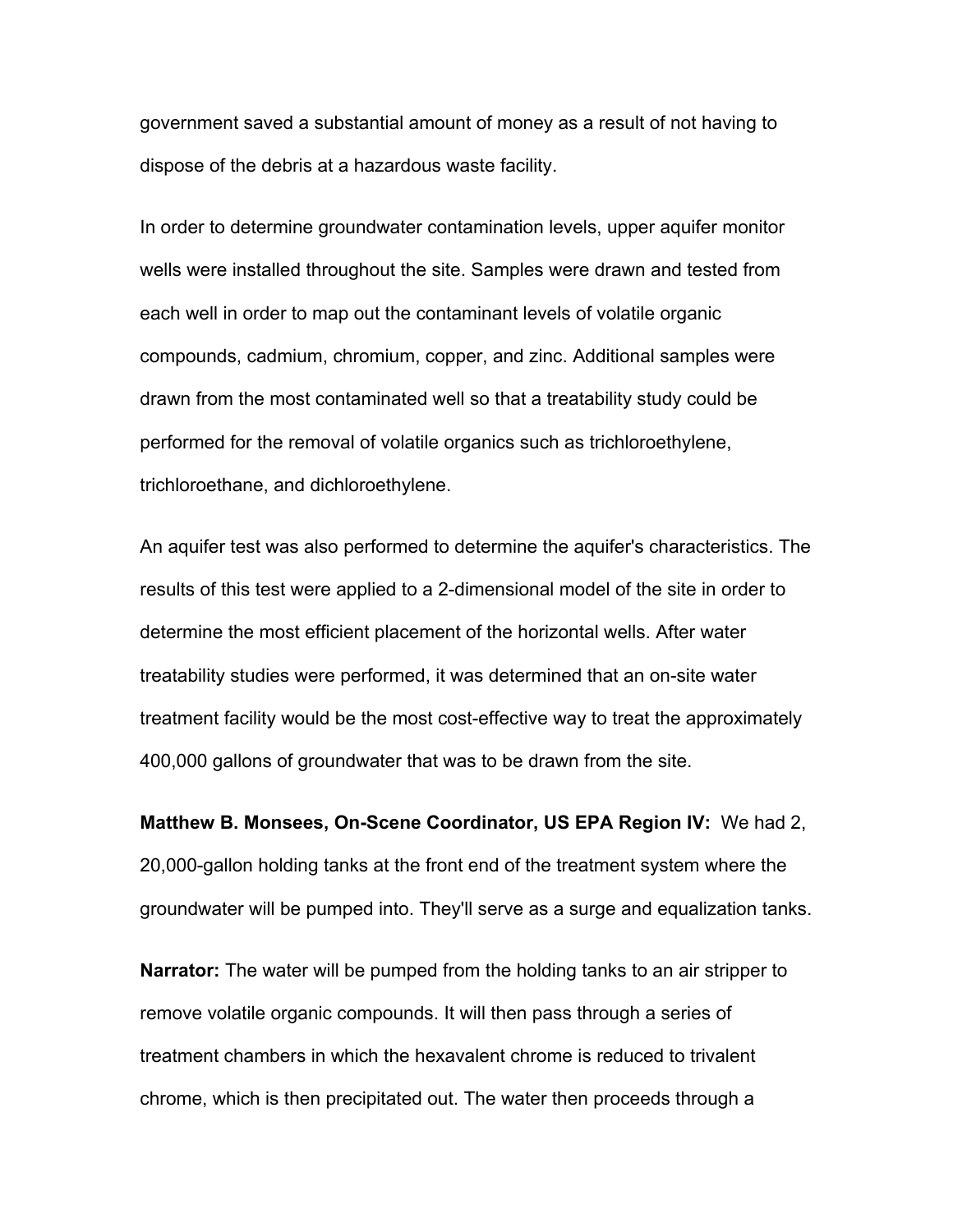government saved a substantial amount of money as a result of not having to dispose of the debris at a hazardous waste facility.

In order to determine groundwater contamination levels, upper aquifer monitor wells were installed throughout the site. Samples were drawn and tested from each well in order to map out the contaminant levels of volatile organic compounds, cadmium, chromium, copper, and zinc. Additional samples were drawn from the most contaminated well so that a treatability study could be performed for the removal of volatile organics such as trichloroethylene, trichloroethane, and dichloroethylene.

An aquifer test was also performed to determine the aquifer's characteristics. The results of this test were applied to a 2-dimensional model of the site in order to determine the most efficient placement of the horizontal wells. After water treatability studies were performed, it was determined that an on-site water treatment facility would be the most cost-effective way to treat the approximately 400,000 gallons of groundwater that was to be drawn from the site.

**Matthew B. Monsees, On-Scene Coordinator, US EPA Region IV:** We had 2, 20,000-gallon holding tanks at the front end of the treatment system where the groundwater will be pumped into. They'll serve as a surge and equalization tanks.

**Narrator:** The water will be pumped from the holding tanks to an air stripper to remove volatile organic compounds. It will then pass through a series of treatment chambers in which the hexavalent chrome is reduced to trivalent chrome, which is then precipitated out. The water then proceeds through a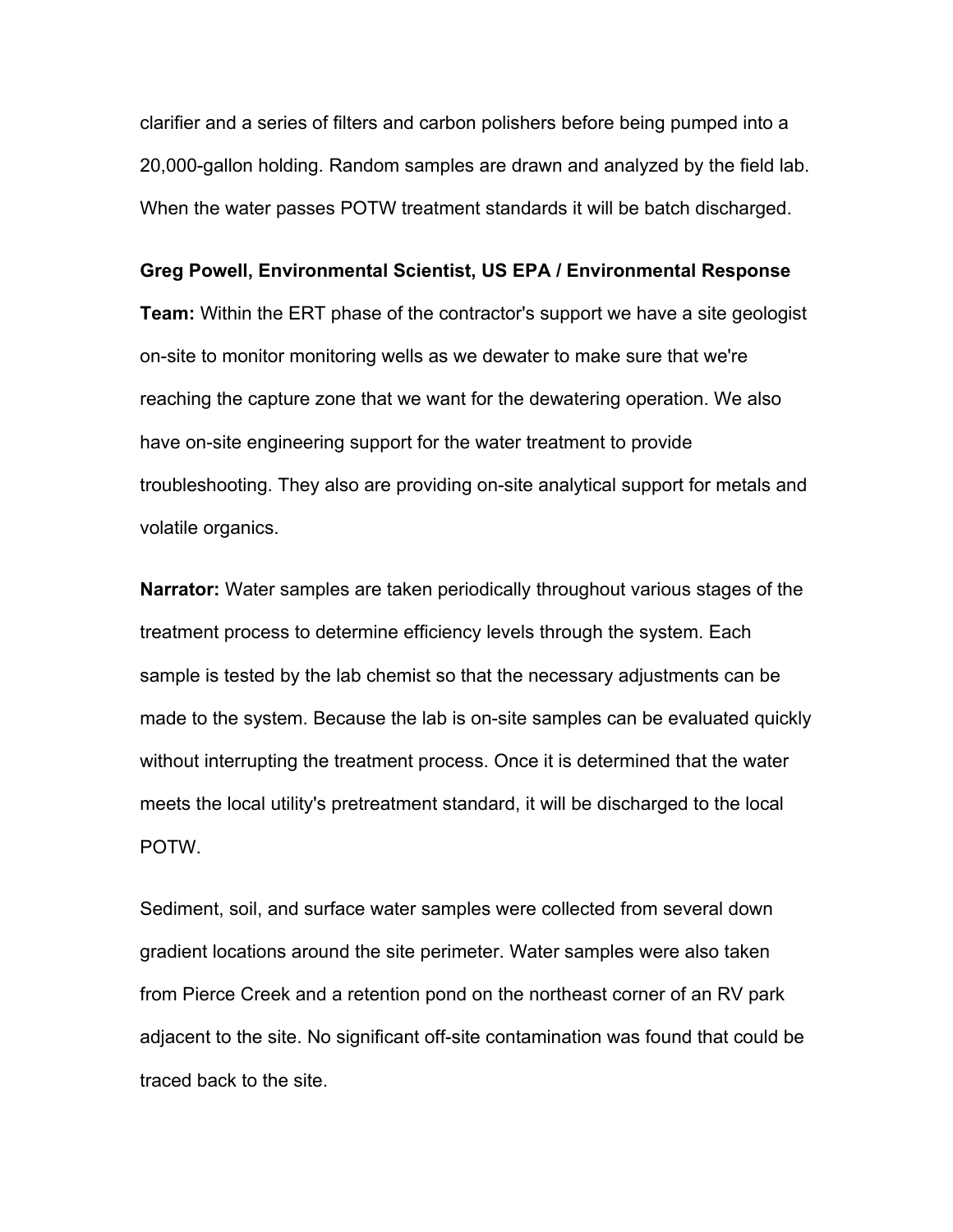clarifier and a series of filters and carbon polishers before being pumped into a 20,000-gallon holding. Random samples are drawn and analyzed by the field lab. When the water passes POTW treatment standards it will be batch discharged.

## **Greg Powell, Environmental Scientist, US EPA / Environmental Response**

**Team:** Within the ERT phase of the contractor's support we have a site geologist on-site to monitor monitoring wells as we dewater to make sure that we're reaching the capture zone that we want for the dewatering operation. We also have on-site engineering support for the water treatment to provide troubleshooting. They also are providing on-site analytical support for metals and volatile organics.

**Narrator:** Water samples are taken periodically throughout various stages of the treatment process to determine efficiency levels through the system. Each sample is tested by the lab chemist so that the necessary adjustments can be made to the system. Because the lab is on-site samples can be evaluated quickly without interrupting the treatment process. Once it is determined that the water meets the local utility's pretreatment standard, it will be discharged to the local POTW.

Sediment, soil, and surface water samples were collected from several down gradient locations around the site perimeter. Water samples were also taken from Pierce Creek and a retention pond on the northeast corner of an RV park adjacent to the site. No significant off-site contamination was found that could be traced back to the site.